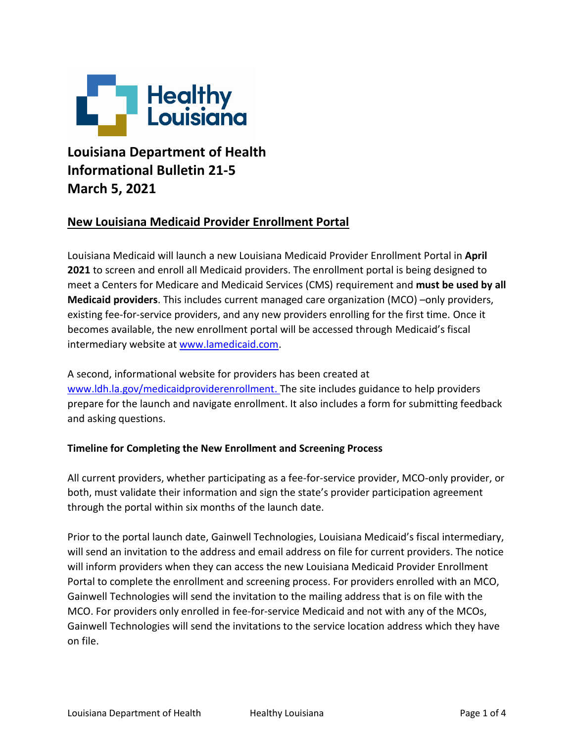

# **Louisiana Department of Health Informational Bulletin 21-5 March 5, 2021**

# **New Louisiana Medicaid Provider Enrollment Portal**

Louisiana Medicaid will launch a new Louisiana Medicaid Provider Enrollment Portal in **April 2021** to screen and enroll all Medicaid providers. The enrollment portal is being designed to meet a Centers for Medicare and Medicaid Services (CMS) requirement and **must be used by all Medicaid providers**. This includes current managed care organization (MCO) –only providers, existing fee-for-service providers, and any new providers enrolling for the first time. Once it becomes available, the new enrollment portal will be accessed through Medicaid's fiscal intermediary website at [www.lamedicaid.com.](http://www.lamedicaid.com/)

A second, informational website for providers has been created at [www.ldh.la.gov/medicaidproviderenrollment.](http://www.ldh.la.gov/medicaidproviderenrollment) The site includes guidance to help providers prepare for the launch and navigate enrollment. It also includes a form for submitting feedback and asking questions.

# **Timeline for Completing the New Enrollment and Screening Process**

All current providers, whether participating as a fee-for-service provider, MCO-only provider, or both, must validate their information and sign the state's provider participation agreement through the portal within six months of the launch date.

Prior to the portal launch date, Gainwell Technologies, Louisiana Medicaid's fiscal intermediary, will send an invitation to the address and email address on file for current providers. The notice will inform providers when they can access the new Louisiana Medicaid Provider Enrollment Portal to complete the enrollment and screening process. For providers enrolled with an MCO, Gainwell Technologies will send the invitation to the mailing address that is on file with the MCO. For providers only enrolled in fee-for-service Medicaid and not with any of the MCOs, Gainwell Technologies will send the invitations to the service location address which they have on file.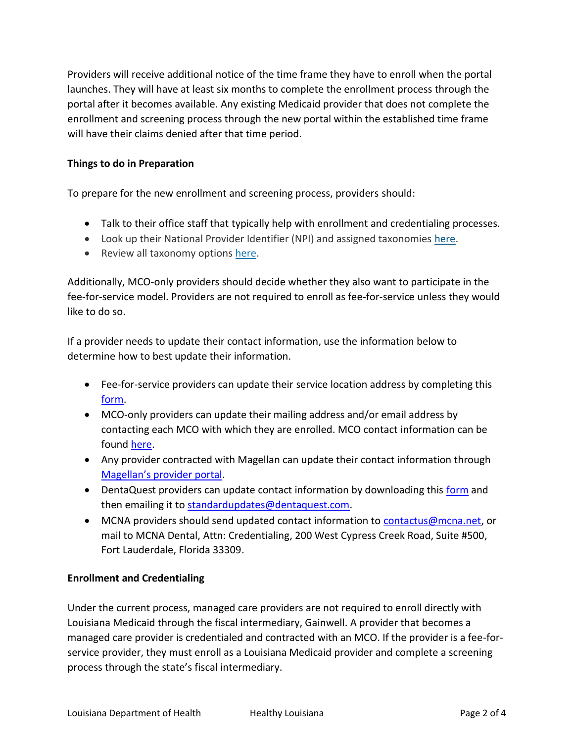Providers will receive additional notice of the time frame they have to enroll when the portal launches. They will have at least six months to complete the enrollment process through the portal after it becomes available. Any existing Medicaid provider that does not complete the enrollment and screening process through the new portal within the established time frame will have their claims denied after that time period.

#### **Things to do in Preparation**

To prepare for the new enrollment and screening process, providers should:

- Talk to their office staff that typically help with enrollment and credentialing processes.
- Look up their National Provider Identifier (NPI) and assigned taxonomies [here.](https://npiregistry.cms.hhs.gov/)
- Review all taxonomy options [here.](https://taxonomy.nucc.org/)

Additionally, MCO-only providers should decide whether they also want to participate in the fee-for-service model. Providers are not required to enroll as fee-for-service unless they would like to do so.

If a provider needs to update their contact information, use the information below to determine how to best update their information.

- Fee-for-service providers can update their service location address by completing this [form.](https://www.lamedicaid.com/provweb1/Provider_Enrollment/20070924%20File%20Update%20Form%20_3_.pdf)
- MCO-only providers can update their mailing address and/or email address by contacting each MCO with which they are enrolled. MCO contact information can be found [here.](https://ldh.la.gov/index.cfm/page/1065)
- Any provider contracted with Magellan can update their contact information through [Magellan's provider portal](https://www.magellanprovider.com/MagellanProvider/do/LoadHome).
- DentaQuest providers can update contact information by downloading this [form](https://dentaquest.com/getattachment/State-Plans/Regions/Louisiana/Dentist-Page/Standard-Updates-Form.pdf/?lang=en-US) and then emailing it to [standardupdates@dentaquest.com.](mailto:standardupdates@dentaquest.com)
- MCNA providers should send updated contact information to [contactus@mcna.net,](mailto:contactus@mcna.net) or mail to MCNA Dental, Attn: Credentialing, 200 West Cypress Creek Road, Suite #500, Fort Lauderdale, Florida 33309.

# **Enrollment and Credentialing**

Under the current process, managed care providers are not required to enroll directly with Louisiana Medicaid through the fiscal intermediary, Gainwell. A provider that becomes a managed care provider is credentialed and contracted with an MCO. If the provider is a fee-forservice provider, they must enroll as a Louisiana Medicaid provider and complete a screening process through the state's fiscal intermediary.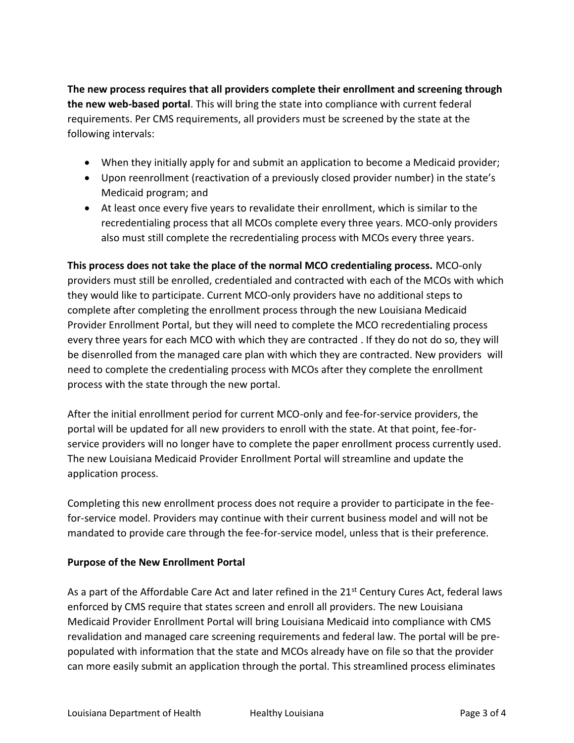**The new process requires that all providers complete their enrollment and screening through the new web-based portal**. This will bring the state into compliance with current federal requirements. Per CMS requirements, all providers must be screened by the state at the following intervals:

- When they initially apply for and submit an application to become a Medicaid provider;
- Upon reenrollment (reactivation of a previously closed provider number) in the state's Medicaid program; and
- At least once every five years to revalidate their enrollment, which is similar to the recredentialing process that all MCOs complete every three years. MCO-only providers also must still complete the recredentialing process with MCOs every three years.

**This process does not take the place of the normal MCO credentialing process.** MCO-only providers must still be enrolled, credentialed and contracted with each of the MCOs with which they would like to participate. Current MCO-only providers have no additional steps to complete after completing the enrollment process through the new Louisiana Medicaid Provider Enrollment Portal, but they will need to complete the MCO recredentialing process every three years for each MCO with which they are contracted . If they do not do so, they will be disenrolled from the managed care plan with which they are contracted. New providers will need to complete the credentialing process with MCOs after they complete the enrollment process with the state through the new portal.

After the initial enrollment period for current MCO-only and fee-for-service providers, the portal will be updated for all new providers to enroll with the state. At that point, fee-forservice providers will no longer have to complete the paper enrollment process currently used. The new Louisiana Medicaid Provider Enrollment Portal will streamline and update the application process.

Completing this new enrollment process does not require a provider to participate in the feefor-service model. Providers may continue with their current business model and will not be mandated to provide care through the fee-for-service model, unless that is their preference.

# **Purpose of the New Enrollment Portal**

As a part of the Affordable Care Act and later refined in the 21<sup>st</sup> Century Cures Act, federal laws enforced by CMS require that states screen and enroll all providers. The new Louisiana Medicaid Provider Enrollment Portal will bring Louisiana Medicaid into compliance with CMS revalidation and managed care screening requirements and federal law. The portal will be prepopulated with information that the state and MCOs already have on file so that the provider can more easily submit an application through the portal. This streamlined process eliminates